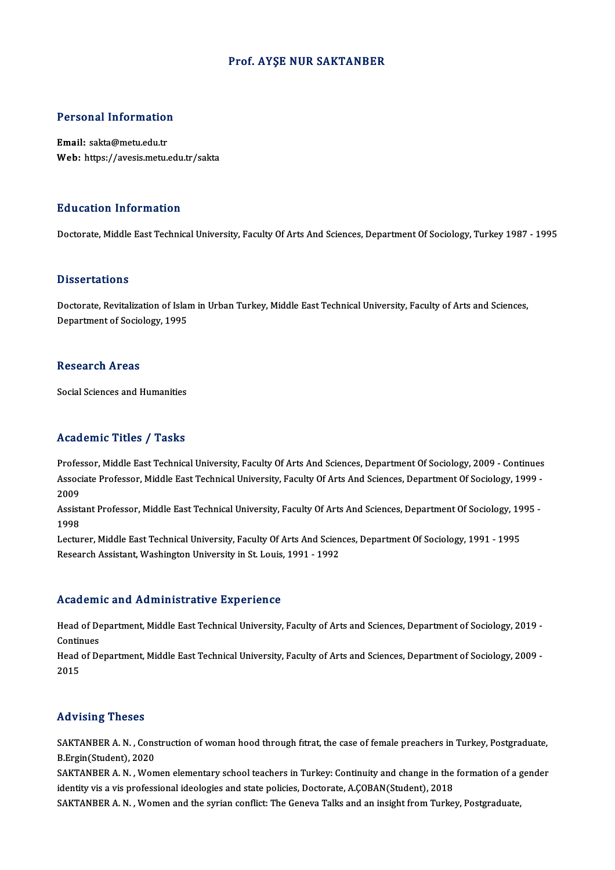### Prof. AYŞE NUR SAKTANBER

# Personal Information

Personal Information<br>Email: sakta@metu.edu.tr<br>Web: https://avesis.mstv Email: sakta@metu.edu.tr<br>Web: https://avesis.metu.edu.tr/sakta

### Education Information

Doctorate, Middle East Technical University, Faculty Of Arts And Sciences, Department Of Sociology, Turkey 1987 - 1995

### **Dissertations**

Doctorate, Revitalization of Islam in Urban Turkey, Middle East Technical University, Faculty of Arts and Sciences, Department of Sociology, 1995

### **Research Areas**

Social Sciences and Humanities

## Academic Titles / Tasks

Professor, Middle East Technical University, Faculty Of Arts And Sciences, Department Of Sociology, 2009 - Continues AssociateMic Traces / Tassis<br>Professor, Middle East Technical University, Faculty Of Arts And Sciences, Department Of Sociology, 2009 - Continues<br>Associate Professor, Middle East Technical University, Faculty Of Arts And S Profes<br>Assoc<br>2009<br>Assist Associate Professor, Middle East Technical University, Faculty Of Arts And Sciences, Department Of Sociology, 1999 -<br>2009<br>Assistant Professor, Middle East Technical University, Faculty Of Arts And Sciences, Department Of S

2009<br>Assist<br>1998<br>Lectur Assistant Professor, Middle East Technical University, Faculty Of Arts And Sciences, Department Of Sociology, 19<br>1998<br>Lecturer, Middle East Technical University, Faculty Of Arts And Sciences, Department Of Sociology, 1991

1998<br>Lecturer, Middle East Technical University, Faculty Of Arts And Sciences, Department Of Sociology, 1991 - 1995<br>Research Assistant, Washington University in St. Louis, 1991 - 1992

### Academic and Administrative Experience

Academic and Administrative Experience<br>Head of Department, Middle East Technical University, Faculty of Arts and Sciences, Department of Sociology, 2019 -<br>Continues Head of De<br>Continues<br>Head of De Head of Department, Middle East Technical University, Faculty of Arts and Sciences, Department of Sociology, 2019 -<br>Continues<br>Head of Department, Middle East Technical University, Faculty of Arts and Sciences, Department o

Continues<br>Head of Department, Middle East Technical University, Faculty of Arts and Sciences, Department of Sociology, 2009 -<br>2015

### Advising Theses

Advising Theses<br>SAKTANBER A. N. , Construction of woman hood through fitrat, the case of female preachers in Turkey, Postgraduate,<br>R. Frgir (Student), 2020 SAKTANBER A. N., Cons<br>B.Ergin(Student), 2020<br>SAKTANBER A. N., Won SAKTANBER A. N. , Construction of woman hood through fitrat, the case of female preachers in Turkey, Postgraduate,<br>B.Ergin(Student), 2020<br>SAKTANBER A. N. , Women elementary school teachers in Turkey: Continuity and change

B.Ergin(Student), 2020<br>SAKTANBER A. N. , Women elementary school teachers in Turkey: Continuity and change in the<br>identity vis a vis professional ideologies and state policies, Doctorate, A.ÇOBAN(Student), 2018<br>SAKTANBER A SAKTANBER A. N. , Women elementary school teachers in Turkey: Continuity and change in the formation of a g<br>identity vis a vis professional ideologies and state policies, Doctorate, A.ÇOBAN(Student), 2018<br>SAKTANBER A. N. ,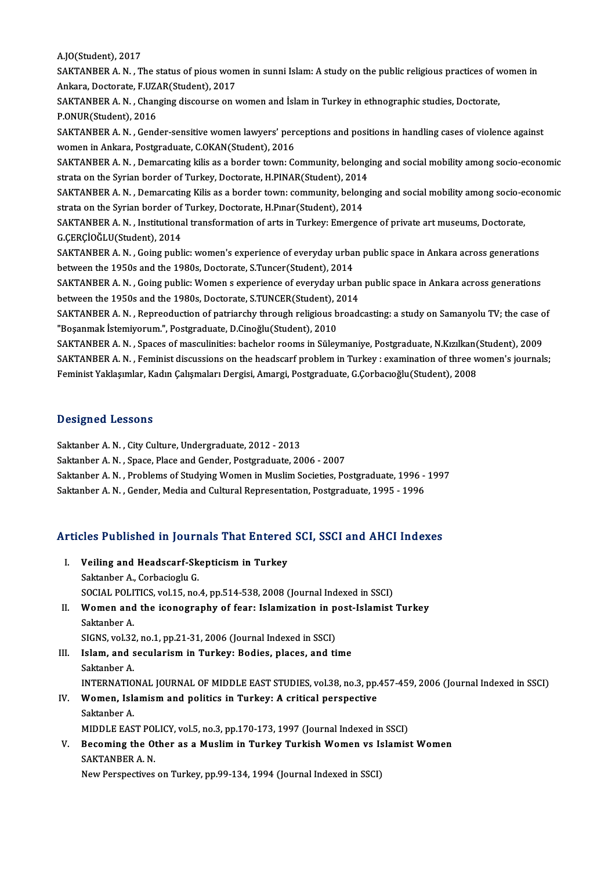A.JO(Student),2017

A.JO(Student), 2017<br>SAKTANBER A. N. , The status of pious women in sunni Islam: A study on the public religious practices of women in<br>Ankana, Dastanata, E UZAR(Student), 2017 A.JO(Student), 2017<br>SAKTANBER A. N. , The status of pious wom<br>Ankara, Doctorate, F.UZAR(Student), 2017<br>SAKTANBER A. N. , Changing discourse on 1 SAKTANBER A. N. , The status of pious women in sunni Islam: A study on the public religious practices of w<br>Ankara, Doctorate, F.UZAR(Student), 2017<br>SAKTANBER A. N. , Changing discourse on women and İslam in Turkey in ethno

Ankara, Doctorate, F.UZAR(Student), 2017<br>SAKTANBER A. N. , Changing discourse on women and İslam in Turkey in ethnographic studies, Doctorate,<br>P.ONUR(Student), 2016 SAKTANBER A. N. , Changing discourse on women and İslam in Turkey in ethnographic studies, Doctorate,<br>P.ONUR(Student), 2016<br>SAKTANBER A. N. , Gender-sensitive women lawyers' perceptions and positions in handling cases of v

P.ONUR(Student), 2016<br>SAKTANBER A. N. , Gender-sensitive women lawyers' per<br>women in Ankara, Postgraduate, C.OKAN(Student), 2016<br>SAKTANBER A. N. , Demarcating kilis as a border tourn. Co SAKTANBER A. N. , Gender-sensitive women lawyers' perceptions and positions in handling cases of violence against<br>women in Ankara, Postgraduate, C.OKAN(Student), 2016<br>SAKTANBER A. N. , Demarcating kilis as a border town: C

women in Ankara, Postgraduate, C.OKAN(Student), 2016<br>SAKTANBER A. N. , Demarcating kilis as a border town: Community, belong<br>strata on the Syrian border of Turkey, Doctorate, H.PINAR(Student), 2014<br>SAKTANBER A. N. Demarcat SAKTANBER A. N. , Demarcating kilis as a border town: Community, belonging and social mobility among socio-economic<br>strata on the Syrian border of Turkey, Doctorate, H.PINAR(Student), 2014<br>SAKTANBER A. N. , Demarcating Kil

strata on the Syrian border of Turkey, Doctorate, H.PINAR(Student), 2014<br>SAKTANBER A. N. , Demarcating Kilis as a border town: community, belonging and social mobility among socio-e<br>strata on the Syrian border of Turkey, D SAKTANBER A. N. , Demarcating Kilis as a border town: community, belonging and social mobility among socio-en<br>strata on the Syrian border of Turkey, Doctorate, H.Pmar(Student), 2014<br>SAKTANBER A. N. , Institutional transfor

strata on the Syrian border of Turkey, Doctorate, H.Pınar(Student), 2014<br>SAKTANBER A. N. , Institutional transformation of arts in Turkey: Emerge:<br>G.ÇERÇİOĞLU(Student), 2014 SAKTANBER A. N. , Institutional transformation of arts in Turkey: Emergence of private art museums, Doctorate,<br>G.ÇERÇİOĞLU(Student), 2014<br>SAKTANBER A. N. , Going public: women's experience of everyday urban public space in

G.ÇERÇİOĞLU(Student), 2014<br>SAKTANBER A. N. , Going public: women's experience of everyday urba<br>between the 1950s and the 1980s, Doctorate, S.Tuncer(Student), 2014<br>SAKTANBER A. N., Going public: Women a experience of everyd SAKTANBER A. N. , Going public: women's experience of everyday urban public space in Ankara across generations<br>between the 1950s and the 1980s, Doctorate, S.Tuncer(Student), 2014<br>SAKTANBER A. N. , Going public: Women s exp

between the 1950s and the 1980s, Doctorate, S.Tuncer(Student), 2014<br>SAKTANBER A. N. , Going public: Women s experience of everyday urban<br>between the 1950s and the 1980s, Doctorate, S.TUNCER(Student), 2014<br>SAKTANBER A. N., SAKTANBER A. N. , Going public: Women s experience of everyday urban public space in Ankara across generations<br>between the 1950s and the 1980s, Doctorate, S.TUNCER(Student), 2014<br>SAKTANBER A. N. , Repreoduction of patriarc

between the 1950s and the 1980s, Doctorate, S.TUNCER(Student), 2014<br>SAKTANBER A. N. , Repreoduction of patriarchy through religious broadcasting: a study on Samanyolu TV; the case of<br>"Boşanmak İstemiyorum.", Postgraduate,

SAKTANBER A. N., Spaces of masculinities: bachelor rooms in Süleymaniye, Postgraduate, N.Kızılkan(Student), 2009 "Boşanmak İstemiyorum.", Postgraduate, D.Cinoğlu(Student), 2010<br>SAKTANBER A. N. , Spaces of masculinities: bachelor rooms in Süleymaniye, Postgraduate, N.Kızılkan(Student), 2009<br>SAKTANBER A. N. , Feminist discussions on th SAKTANBER A. N. , Spaces of masculinities: bachelor rooms in Süleymaniye, Postgraduate, N.Kızılkan(<br>SAKTANBER A. N. , Feminist discussions on the headscarf problem in Turkey : examination of three w<br>Feminist Yaklaşımlar, K Feminist Yaklaşımlar, Kadın Çalışmaları Dergisi, Amargi, Postgraduate, G.Çorbacıoğlu(Student), 2008<br>Designed Lessons

Saktanber A. N., City Culture, Undergraduate, 2012 - 2013

Saktanber A. N., Space, Place and Gender, Postgraduate, 2006 - 2007

Saktanber A. N., Problems of Studying Women in Muslim Societies, Postgraduate, 1996 - 1997

Saktanber A. N., Gender, Media and Cultural Representation, Postgraduate, 1995 - 1996

# Saktanber A. N. , Gender, Media and Cultural Representation, Postgraduate, 1995 - 1996<br>Articles Published in Journals That Entered SCI, SSCI and AHCI Indexes

rticles Published in Journals That Entered<br>I. Veiling and Headscarf-Skepticism in Turkey I. Veiling and Headscarf-Skepticism in Turkey<br>Saktanber A., Corbacioglu G. Veiling and Headscarf-Skepticism in Turkey<br>Saktanber A., Corbacioglu G.<br>SOCIAL POLITICS, vol.15, no.4, pp.514-538, 2008 (Journal Indexed in SSCI)<br>Women and the isonography of foary Islamization in post Islamist. Saktanber A., Corbacioglu G.<br>SOCIAL POLITICS, vol.15, no.4, pp.514-538, 2008 (Journal Indexed in SSCI)<br>II. Women and the iconography of fear: Islamization in post-Islamist Turkey<br>Saktanber A SOCIAL POLI<br>Women and<br>Saktanber A.<br>SICNS vol 32

Women and the iconography of fear: Islamization in p<br>Saktanber A.<br>SIGNS, vol.32, no.1, pp.21-31, 2006 (Journal Indexed in SSCI)<br>Jelam, and secularism in Turkey: Bodies, places, and ti SIGNS, vol.32, no.1, pp.21-31, 2006 (Journal Indexed in SSCI)

Saktanber A.<br>SIGNS, vol.32, no.1, pp.21-31, 2006 (Journal Indexed in SSCI)<br>III. Islam, and secularism in Turkey: Bodies, places, and time<br>Saktanber A. Islam, and secularism in Turkey: Bodies, places, and time<br>Saktanber A.<br>INTERNATIONAL JOURNAL OF MIDDLE EAST STUDIES, vol.38, no.3, pp.457-459, 2006 (Journal Indexed in SSCI)<br>Wemen, Jelamiam and politics in Turkey: A critic

## Saktanber A.<br>INTERNATIONAL JOURNAL OF MIDDLE EAST STUDIES, vol.38, no.3, pp.<br>IV. Women, Islamism and politics in Turkey: A critical perspective<br>Sekterber A INTERNATIO<br>Women, Isla<br>Saktanber A.<br>MIDDI E EAS Women, Islamism and politics in Turkey: A critical perspective<br>Saktanber A.<br>MIDDLE EAST POLICY, vol.5, no.3, pp.170-173, 1997 (Journal Indexed in SSCI)<br>Becoming the Other as a Muslim in Turkey Turkish Women vs Islamis:

## Saktanber A.<br>MIDDLE EAST POLICY, vol.5, no.3, pp.170-173, 1997 (Journal Indexed in SSCI)<br>V. Becoming the Other as a Muslim in Turkey Turkish Women vs Islamist Women<br>SAKTANBER A. N. MIDDLE EAST POI<br>Becoming the Ot<br>SAKTANBER A. N.<br>Now Perspectives

New Perspectives on Turkey, pp.99-134, 1994 (Journal Indexed in SSCI)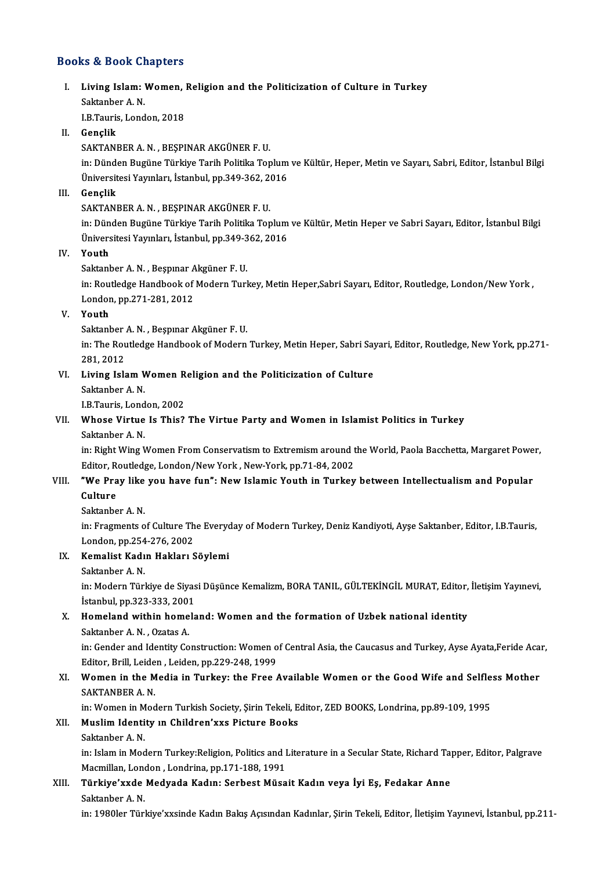## Books&Book Chapters

## ooks & Book Chapters<br>I. Living Islam: Women, Religion and the Politicization of Culture in Turkey<br>Sektapher A N Extra Brock<br>Living Islam:<br>Saktanber A. N.<br>LP Teuris Lond Li<mark>ving Islam: Women,</mark><br>Saktanber A. N.<br>I.B.Tauris, London, 2018<br>Conslik

Saktanber A. N.<br>I.B.Tauris, London, 2018<br>II. Genclik

SAKTANBERA.N. ,BEŞPINARAKGÜNERF.U.

in: Dünden Bugüne Türkiye Tarih Politika Toplum ve Kültür, Heper, Metin ve Sayarı, Sabri, Editor, İstanbul Bilgi SAKTANBER A. N. , BEŞPINAR AKGÜNER F. U.<br>in: Dünden Bugüne Türkiye Tarih Politika Toplum<br>Üniversitesi Yayınları, İstanbul, pp.349-362, 2016<br>Conslik Üniversitesi Yayınları, İstanbul, pp.349-362, 20<br>Gençlik<br>SAKTANBER A. N. , BEŞPINAR AKGÜNER F. U.<br>in: Dünden Bugüne Türkiye Tarih Belitike Ter

III. Gençlik<br>SAKTANBER A. N. , BEŞPINAR AKGÜNER F. U.

Gençlik<br>SAKTANBER A. N. , BEŞPINAR AKGÜNER F. U.<br>in: Dünden Bugüne Türkiye Tarih Politika Toplum ve Kültür, Metin Heper ve Sabri Sayarı, Editor, İstanbul Bilgi<br>Üniversitesi Yayınları, İstanbul, np.349,362,2016 SAKTANBER A. N. , BEŞPINAR AKGÜNER F. U.<br>in: Dünden Bugüne Türkiye Tarih Politika Toplum<br>Üniversitesi Yayınları, İstanbul, pp.349-362, 2016<br>Youth Üniversitesi Yayınları, İstanbul, pp.349-362, 2016

IV. Youth<br>Saktanber A. N., Beşpinar Akgüner F. U.

in: Routledge Handbook of Modern Turkey, Metin Heper,Sabri Sayarı, Editor, Routledge, London/New York, London,pp.271-281,2012

### V. Youth

Saktanber A.N., Beşpınar Akgüner F.U.

Youth<br>Saktanber A. N. , Beşpınar Akgüner F. U.<br>in: The Routledge Handbook of Modern Turkey, Metin Heper, Sabri Sayari, Editor, Routledge, New York, pp.271-<br>281, 2012 Saktanber<br>in: The Rou<br>281, 2012<br>Living Jolé in: The Routledge Handbook of Modern Turkey, Metin Heper, Sabri Say<br>281, 2012<br>VI. Living Islam Women Religion and the Politicization of Culture<br>Sektepher A N 281, 2012<br>Living Islam V<br>Saktanber A. N.<br>LP Teuris Lond

# Li<mark>ving Islam Women R</mark><br>Saktanber A. N.<br>I.B.Tauris, London, 2002<br>Whose Virtue Is Thie?

IB Tauris, London, 2002

# Saktanber A. N.<br>I.B.Tauris, London, 2002<br>VII. Whose Virtue Is This? The Virtue Party and Women in Islamist Politics in Turkey<br>Saktanber A. N.

Whose Virtue Is This? The Virtue Party and Women in Islamist Politics in Turkey<br>Saktanber A. N.<br>in: Right Wing Women From Conservatism to Extremism around the World, Paola Bacchetta, Margaret Power,<br>Editor Boutledge London Saktanber A. N.<br>in: Right Wing Women From Conservatism to Extremism around t<br>Editor, Routledge, London/New York , New-York, pp.71-84, 2002<br>"We Pray like you have fun". New Jolamis Youth in Turkey in: Right Wing Women From Conservatism to Extremism around the World, Paola Bacchetta, Margaret Powe<br>Editor, Routledge, London/New York, New-York, pp.71-84, 2002<br>VIII. "We Pray like you have fun": New Islamic Youth in Turk

## Editor, Re<br>**"We Pra<br>Culture**<br>Saktanbe "We Pray like<br>Culture<br>Saktanber A. N.<br>in: Eragments e

Culture<br>Saktanber A. N.<br>in: Fragments of Culture The Everyday of Modern Turkey, Deniz Kandiyoti, Ayşe Saktanber, Editor, I.B.Tauris,<br>Landan, nn 254, 276, 2002 Saktanber A. N.<br>in: Fragments of Culture Th<br>London, pp.254-276, 2002<br>Komalist Kadın Hakları S in: Fragments of Culture The Every<br>London, pp.254-276, 2002<br>IX. Kemalist Kadın Hakları Söylemi<br>Sektepber A N London, pp.254<br><mark>Kemalist Kadı</mark><br>Saktanber A. N.<br>in: Modern Türl

Kemalist Kadın Hakları Söylemi<br>Saktanber A. N.<br>in: Modern Türkiye de Siyasi Düşünce Kemalizm, BORA TANIL, GÜLTEKİNGİL MURAT, Editor, İletişim Yayınevi,<br>İstanbul np.222, 222, 2001 Saktanber A. N.<br>in: Modern Türkiye de Siyas<br>İstanbul, pp.323-333, 2001<br>Hamaland within hamala İstanbul, pp. 323-333, 2001

## X. Homeland within homeland: Women and the formation of Uzbek national identity<br>Saktanber A. N. . Ozatas A. Homeland within homeland: Women and the formation of Uzbek national identity<br>Saktanber A. N. , Ozatas A.<br>in: Gender and Identity Construction: Women of Central Asia, the Caucasus and Turkey, Ayse Ayata,Feride Acar,<br>Editor

Saktanber A. N. , Ozatas A.<br>in: Gender and Identity Construction: Women o<br>Editor, Brill, Leiden , Leiden, pp.229-248, 1999<br>Women in the Modie in Turkew the Enee (

## in: Gender and Identity Construction: Women of Central Asia, the Caucasus and Turkey, Ayse Ayata,Feride Aca:<br>Editor, Brill, Leiden, Leiden, pp.229-248, 1999<br>XI. Women in the Media in Turkey: the Free Available Women or the Editor, Brill, Leide<br>Women in the M<br>SAKTANBER A. N.<br>in: Women in Med Women in the Media in Turkey: the Free Available Women or the Good Wife and Selfle<br>SAKTANBER A. N.<br>in: Women in Modern Turkish Society, Şirin Tekeli, Editor, ZED BOOKS, Londrina, pp.89-109, 1995<br>Muslim Identity yn Children

in: Women in Modern Turkish Society, Sirin Tekeli, Editor, ZED BOOKS, Londrina, pp.89-109, 1995

# SAKTANBER A. N.<br>in: Women in Modern Turkish Society, Şirin Tekeli, E<br>XII. **Muslim Identity ın Children'xxs Picture Books**<br>Saktanber A. N.

Muslim Identity in Children'xxs Picture Books<br>Saktanber A. N.<br>in: Islam in Modern Turkey:Religion, Politics and Literature in a Secular State, Richard Tapper, Editor, Palgrave<br>Magmillan, London, Londrina, nn 171-199-1991 Saktanber A. N.<br>in: Islam in Modern Turkey:Religion, Politics and I<br>Macmillan, London , Londrina, pp.171-188, 1991<br>Türkiye'yyde Medyada Kadını, Sarbest Müsa in: Islam in Modern Turkey:Religion, Politics and Literature in a Secular State, Richard Tay<br>Macmillan, London , Londrina, pp.171-188, 1991<br>XIII. Türkiye'xxde Medyada Kadın: Serbest Müsait Kadın veya İyi Eş, Fedakar An

## Macmillan, London , Londrina, pp.171-188, 1991<br>Türkiye'xxde Medyada Kadın: Serbest Müsait Kadın veya İyi Eş, Fedakar Anne<br>Saktanber A. N.

in: 1980ler Türkiye'xxsinde Kadın Bakış Açısından Kadınlar, Şirin Tekeli, Editor, İletişim Yayınevi, İstanbul, pp.211-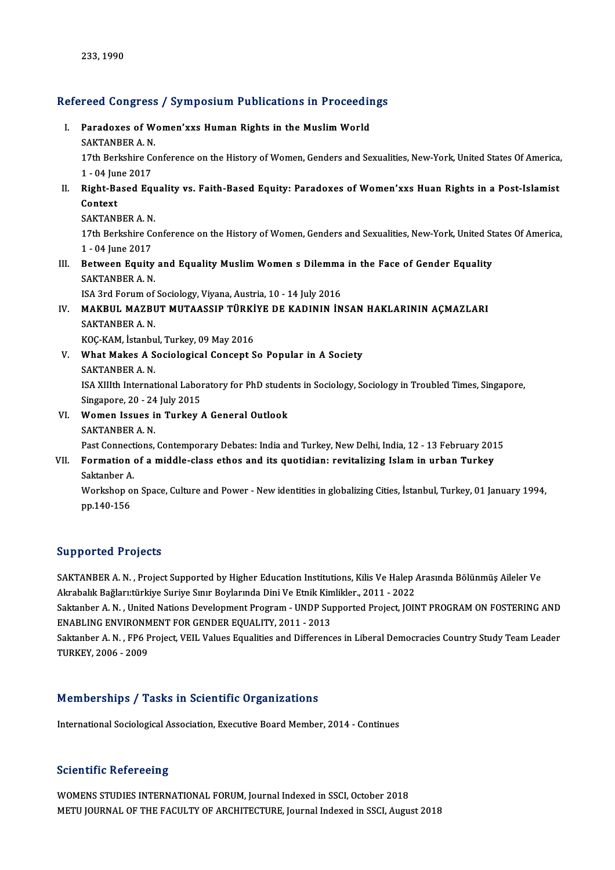# 233,1990<br>Refereed Congress / Symposium Publications in Proceedings

efereed Congress / Symposium Publications in Proceedin<br>I. Paradoxes of Women'xxs Human Rights in the Muslim World<br>SAKTANBER A N I. Paradoxes of Women'xxs Human Rights in the Muslim World<br>SAKTANBER A. N. Paradoxes of Women'xxs Human Rights in the Muslim World<br>SAKTANBER A. N.<br>17th Berkshire Conference on the History of Women, Genders and Sexualities, New-York, United States Of America, SAKTANBER A. N.<br>17th Berkshire Co<br>1 - 04 June 2017<br>Pight Pased Fa 17th Berkshire Conference on the History of Women, Genders and Sexualities, New-York, United States Of America,<br>1 - 04 June 2017<br>II. Right-Based Equality vs. Faith-Based Equity: Paradoxes of Women'xxs Huan Rights in a Post 1 - 04 June 2017<br>Right-Based Equ<br>Context<br>SAKTANBER A. N. II. Right-Based Equality vs. Faith-Based Equity: Paradoxes of Women'xxs Huan Rights in a Post-Islamist Context<br>SAKTANBER A. N.<br>17th Berkshire Conference on the History of Women, Genders and Sexualities, New-York, United States Of America, SAKTANBER A. N.<br>17th Berkshire Co<br>1 - 04 June 2017<br>Between Feuity 17th Berkshire Conference on the History of Women, Genders and Sexualities, New-York, United St<br>1 - 04 June 2017<br>III. Between Equity and Equality Muslim Women s Dilemma in the Face of Gender Equality<br>SAKTANEER A N 1 - 04 June 2017<br>Between Equity<br>SAKTANBER A. N.<br><sup>ISA 2nd Eerum of</sup> Between Equity and Equality Muslim Women s Dilemma<br>SAKTANBER A. N.<br>ISA 3rd Forum of Sociology, Viyana, Austria, 10 - 14 July 2016<br>MAKRIIL MAZRIIT MITAASSIR TÜRKİYE DE KADININ İN SAKTANBER A. N.<br>ISA 3rd Forum of Sociology, Viyana, Austria, 10 - 14 July 2016<br>IV. MAKBUL MAZBUT MUTAASSIP TÜRKİYE DE KADININ İNSAN HAKLARININ AÇMAZLARI<br>SAKTANBER A N ISA 3rd Forum of Sociology, Viyana, Austria, 10 - 14 July 2016<br>MAKBUL MAZBUT MUTAASSIP TÜRKİYE DE KADININ İN<br>SAKTANBER A. N.<br>KOC-KAM, İstanbul, Turkey, 09 May 2016 MAKBUL MAZBUT MUTAASSIP TÜRKİ<br>SAKTANBER A. N.<br>KOÇ-KAM, İstanbul, Turkey, 09 May 2016<br>What Makes A Sosialagisal Cansent S SAKTANBER A. N.<br>KOÇ-KAM, İstanbul, Turkey, 09 May 2016<br>V. What Makes A Sociological Concept So Popular in A Society<br>SAKTANBER A N KOÇ-KAM, İstanbu<br>What Makes A S<br>SAKTANBER A. N.<br>ISA YUIth Internat What Makes A Sociological Concept So Popular in A Society<br>SAKTANBER A. N.<br>ISA XIIIth International Laboratory for PhD students in Sociology, Sociology in Troubled Times, Singapore,<br>Singapore, 20, ...24 July 2015 SAKTANBER A. N.<br>ISA XIIIth International Labor<br>Singapore, 20 - 24 July 2015<br>Woman Jesues in Turkey ISA XIIIth International Laboratory for PhD studes<br>Singapore, 20 - 24 July 2015<br>VI. Women Issues in Turkey A General Outlook<br>SAKTANEER A N Singapore, 20 - 24<br>Women Issues i<br>SAKTANBER A. N.<br>Pest Connections Women Issues in Turkey A General Outlook<br>SAKTANBER A. N.<br>Past Connections, Contemporary Debates: India and Turkey, New Delhi, India, 12 - 13 February 2015<br>Formation of a middle glass athos and its quotidiany revitalizing J SAKTANBER A. N.<br>Past Connections, Contemporary Debates: India and Turkey, New Delhi, India, 12 - 13 February 201<br>VII. Formation of a middle-class ethos and its quotidian: revitalizing Islam in urban Turkey Past Connect<br>Formation<br>Saktanber A.<br>Workeben et Formation of a middle-class ethos and its quotidian: revitalizing Islam in urban Turkey<br>Saktanber A.<br>Workshop on Space, Culture and Power - New identities in globalizing Cities, İstanbul, Turkey, 01 January 1994,<br>nn 140 15 Saktanber A<br>Workshop o<br>pp.140-156

# pp.140-156<br>Supported Projects

SAKTANBER A. N., Project Supported by Higher Education Institutions, Kilis Ve Halep Arasında Bölünmüş Aileler Ve Bağportoa 11990as<br>SAKTANBER A. N. , Project Supported by Higher Education Institutions, Kilis Ve Halep .<br>Akrabalık Bağları:türkiye Suriye Sınır Boylarında Dini Ve Etnik Kimlikler., 2011 - 2022<br>Saktapber A. N. , United Nati

Saktanber A.N., United Nations Development Program - UNDP Supported Project, JOINT PROGRAM ON FOSTERING AND ENABLING SUPPORTED UNITY, 2011 - 2013 Akrabalık Bağları:türkiye Suriye Sınır Boylarında Dini Ve Etnik Kim<br>Saktanber A. N. , United Nations Development Program - UNDP Suj<br>ENABLING ENVIRONMENT FOR GENDER EQUALITY, 2011 - 2013<br>Saktanber A. N. , EB6 Project VEU, V Saktanber A. N. , United Nations Development Program - UNDP Supported Project, JOINT PROGRAM ON FOSTERING AND<br>ENABLING ENVIRONMENT FOR GENDER EQUALITY, 2011 - 2013<br>Saktanber A. N. , FP6 Project, VEIL Values Equalities and

ENABLING ENVIRONM<br>Saktanber A. N. , FP6 P<br>TURKEY, 2006 - 2009 TURKEY, 2006 - 2009<br>Memberships / Tasks in Scientific Organizations

International Sociological Association, Executive Board Member, 2014 - Continues

## **Scientific Refereeing**

Scientific Refereeing<br>WOMENS STUDIES INTERNATIONAL FORUM, Journal Indexed in SSCI, October 2018<br>METU JOURNAL OF THE EACULTY OF ARCHITECTURE, Journal Indexed in SSCI, Augu DOCONCHIC NOTOT COMB<br>WOMENS STUDIES INTERNATIONAL FORUM, Journal Indexed in SSCI, October 2018<br>METU JOURNAL OF THE FACULTY OF ARCHITECTURE, Journal Indexed in SSCI, August 2018